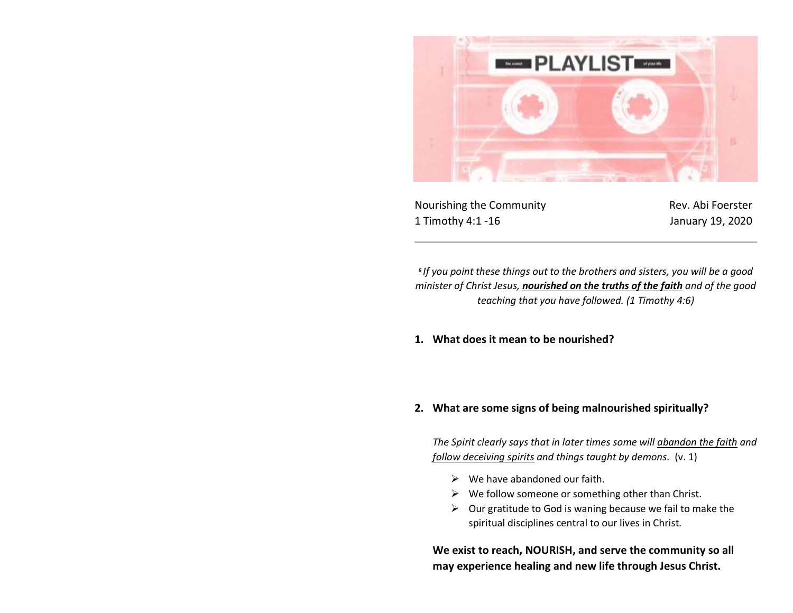

Nourishing the Community **Rev. Abi Foerster** 1 Timothy 4:1 -16 January 19, 2020

*6 If you point these things out to the brothers and sisters, you will be a good minister of Christ Jesus, nourished on the truths of the faith and of the good teaching that you have followed. (1 Timothy 4:6)*

**1. What does it mean to be nourished?** 

## **2. What are some signs of being malnourished spiritually?**

*The Spirit clearly says that in later times some will abandon the faith and follow deceiving spirits and things taught by demons.* (v. 1)

- $\triangleright$  We have abandoned our faith.
- $\triangleright$  We follow someone or something other than Christ.
- $\triangleright$  Our gratitude to God is waning because we fail to make the spiritual disciplines central to our lives in Christ.

**We exist to reach, NOURISH, and serve the community so all may experience healing and new life through Jesus Christ.**